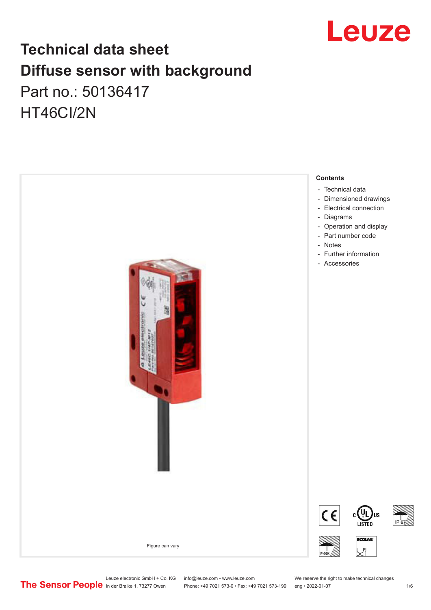

## **Technical data sheet Diffuse sensor with background**  Part no.: 50136417 HT46CI/2N



Leuze electronic GmbH + Co. KG info@leuze.com • www.leuze.com We reserve the right to make technical changes<br>
The Sensor People in der Braike 1, 73277 Owen Phone: +49 7021 573-0 • Fax: +49 7021 573-199 eng • 2022-01-07

Phone: +49 7021 573-0 • Fax: +49 7021 573-199 eng • 2022-01-07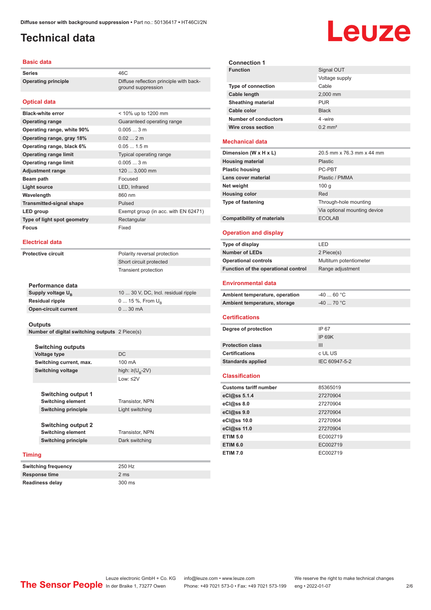## <span id="page-1-0"></span>**Technical data**

### **Basic data**

**Series** 46C **Operating principle** Diffuse reflection principle with back-

### **Optical data**

| <b>Black-white error</b>        | < 10% up to 1200 mm                  |
|---------------------------------|--------------------------------------|
| <b>Operating range</b>          | Guaranteed operating range           |
| Operating range, white 90%      | 0.0053m                              |
| Operating range, gray 18%       | 0.022m                               |
| Operating range, black 6%       | $0.051.5$ m                          |
| <b>Operating range limit</b>    | Typical operating range              |
| <b>Operating range limit</b>    | 0.0053m                              |
| <b>Adjustment range</b>         | 120  3,000 mm                        |
| Beam path                       | Focused                              |
| Light source                    | LED, Infrared                        |
| Wavelength                      | 860 nm                               |
| <b>Transmitted-signal shape</b> | Pulsed                               |
| LED group                       | Exempt group (in acc. with EN 62471) |
| Type of light spot geometry     | Rectangular                          |
| <b>Focus</b>                    | Fixed                                |

### **Electrical data**

**Protective circuit** Polarity reversal protection

Short circuit protected Transient protection

ground suppression

| Performance data              |                                     |
|-------------------------------|-------------------------------------|
| Supply voltage U <sub>p</sub> | 10  30 V, DC, Incl. residual ripple |
| <b>Residual ripple</b>        | $0 15 \%$ , From $U_{p}$            |
| <b>Open-circuit current</b>   | $030$ mA                            |

### **Outputs**

**Number of digital switching outputs** 2 Piece(s)

| <b>Switching outputs</b>                              |                                   |
|-------------------------------------------------------|-----------------------------------|
| <b>Voltage type</b>                                   | DC.                               |
| Switching current, max.                               | 100 mA                            |
| Switching voltage                                     | high: $\geq$ (U <sub>p</sub> -2V) |
|                                                       | $1$ nw: $\leq$ 2V                 |
| <b>Switching output 1</b><br><b>Switching element</b> | <b>Transistor, NPN</b>            |
| <b>Switching principle</b>                            | Light switching                   |
| <b>Switching output 2</b><br><b>Switching element</b> | <b>Transistor, NPN</b>            |

**Switching frequency** 250 Hz **Response time** 2 ms **Readiness delay** 300 ms

**Switching principle** Dark switching

## **Timing**

| <b>Switching frequency</b> |  |
|----------------------------|--|
| <b>Response time</b>       |  |
| <b>Readiness delay</b>     |  |

**Connection 1 Signal OUT** Voltage supply **Type of connection** Cable **Cable length** 2,000 mm **Sheathing material** PUR **Cable color** Black

### **Mechanical data**

**Number of conductors** 4 -wire **Wire cross section** 0.2 mm<sup>2</sup>

| Dimension (W x H x L)             | 20.5 mm x 76.3 mm x 44 mm    |
|-----------------------------------|------------------------------|
| <b>Housing material</b>           | <b>Plastic</b>               |
| <b>Plastic housing</b>            | PC-PBT                       |
| Lens cover material               | Plastic / PMMA               |
| Net weight                        | 100q                         |
| <b>Housing color</b>              | Red                          |
| <b>Type of fastening</b>          | Through-hole mounting        |
|                                   | Via optional mounting device |
| <b>Compatibility of materials</b> | <b>ECOLAB</b>                |

### **Operation and display**

| Type of display                     | I FD                    |
|-------------------------------------|-------------------------|
| <b>Number of LEDs</b>               | 2 Piece(s)              |
| <b>Operational controls</b>         | Multiturn potentiometer |
| Function of the operational control | Range adjustment        |
|                                     |                         |

### **Environmental data**

| Ambient temperature, operation | -40  60 °C |
|--------------------------------|------------|
| Ambient temperature, storage   | -40  70 °C |

### **Certifications**

| Degree of protection     | IP 67         |
|--------------------------|---------------|
|                          | IP 69K        |
| <b>Protection class</b>  | Ш             |
| <b>Certifications</b>    | c UL US       |
| <b>Standards applied</b> | IEC 60947-5-2 |
|                          |               |

### **Classification**

| <b>Customs tariff number</b> | 85365019 |
|------------------------------|----------|
| eCl@ss 5.1.4                 | 27270904 |
| eCl@ss 8.0                   | 27270904 |
| eCl@ss 9.0                   | 27270904 |
| eCl@ss 10.0                  | 27270904 |
| eCl@ss 11.0                  | 27270904 |
| <b>ETIM 5.0</b>              | EC002719 |
| <b>ETIM 6.0</b>              | EC002719 |
| <b>ETIM 7.0</b>              | EC002719 |

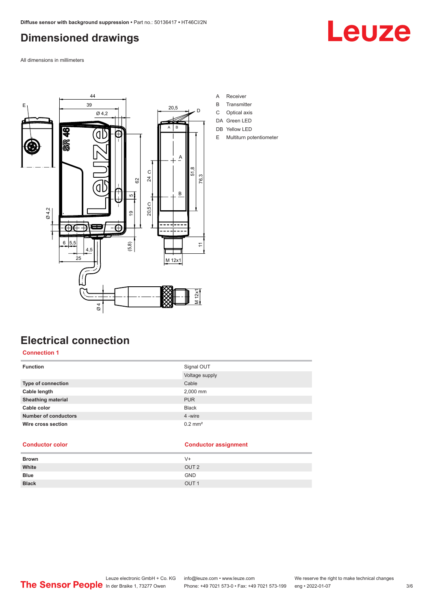## <span id="page-2-0"></span>**Dimensioned drawings**

Leuze

All dimensions in millimeters



- A Receiver
- B Transmitter
- C Optical axis
- DA Green LED
- DB Yellow LED
- E Multiturn potentiometer

## **Electrical connection**

### **Connection 1**

| <b>Function</b>             | Signal OUT            |
|-----------------------------|-----------------------|
|                             | Voltage supply        |
| <b>Type of connection</b>   | Cable                 |
| Cable length                | 2,000 mm              |
| <b>Sheathing material</b>   | <b>PUR</b>            |
| Cable color                 | <b>Black</b>          |
| <b>Number of conductors</b> | 4 -wire               |
| Wire cross section          | $0.2$ mm <sup>2</sup> |

### **Conductor color Conductor assignment**

| <b>Brown</b> | $V +$            |
|--------------|------------------|
| White        | OUT <sub>2</sub> |
| Blue         | <b>GND</b>       |
| <b>Black</b> | OUT <sub>1</sub> |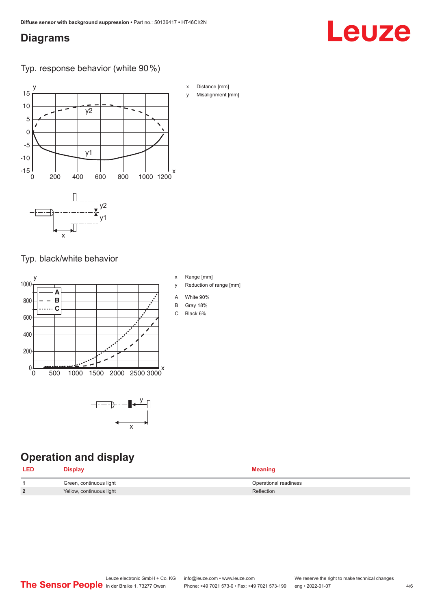## <span id="page-3-0"></span>**Diagrams**

# Leuze

Typ. response behavior (white 90 %)



Typ. black/white behavior



x

## **Operation and display**

| <b>LED</b> | <b>Display</b>           | <b>Meaning</b>        |
|------------|--------------------------|-----------------------|
|            | Green, continuous light  | Operational readiness |
| C          | Yellow, continuous light | Reflection            |

| <b>Distance Immil</b> |
|-----------------------|
| Misalignment [mm]     |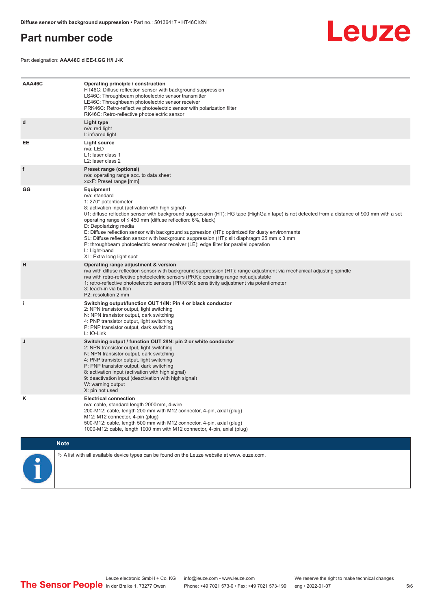## <span id="page-4-0"></span>**Part number code**



Part designation: **AAA46C d EE-f.GG H/i J-K**

| AAA46C      | Operating principle / construction<br>HT46C: Diffuse reflection sensor with background suppression<br>LS46C: Throughbeam photoelectric sensor transmitter<br>LE46C: Throughbeam photoelectric sensor receiver<br>PRK46C: Retro-reflective photoelectric sensor with polarization filter<br>RK46C: Retro-reflective photoelectric sensor                                                                                                                                                                                                                                                                                                                                                        |
|-------------|------------------------------------------------------------------------------------------------------------------------------------------------------------------------------------------------------------------------------------------------------------------------------------------------------------------------------------------------------------------------------------------------------------------------------------------------------------------------------------------------------------------------------------------------------------------------------------------------------------------------------------------------------------------------------------------------|
| d           | Light type<br>n/a: red light<br>I: infrared light                                                                                                                                                                                                                                                                                                                                                                                                                                                                                                                                                                                                                                              |
| EE          | Light source<br>n/a: LED<br>L1: laser class 1<br>L2: laser class 2                                                                                                                                                                                                                                                                                                                                                                                                                                                                                                                                                                                                                             |
| f           | Preset range (optional)<br>n/a: operating range acc. to data sheet<br>xxxF: Preset range [mm]                                                                                                                                                                                                                                                                                                                                                                                                                                                                                                                                                                                                  |
| GG          | Equipment<br>n/a: standard<br>1: 270° potentiometer<br>8: activation input (activation with high signal)<br>01: diffuse reflection sensor with background suppression (HT): HG tape (HighGain tape) is not detected from a distance of 900 mm with a set<br>operating range of $\leq$ 450 mm (diffuse reflection: 6%, black)<br>D: Depolarizing media<br>E: Diffuse reflection sensor with background suppression (HT): optimized for dusty environments<br>SL: Diffuse reflection sensor with background suppression (HT): slit diaphragm 25 mm x 3 mm<br>P: throughbeam photoelectric sensor receiver (LE): edge filter for parallel operation<br>L: Light-band<br>XL: Extra long light spot |
| н           | Operating range adjustment & version<br>n/a with diffuse reflection sensor with background suppression (HT): range adjustment via mechanical adjusting spindle<br>n/a with retro-reflective photoelectric sensors (PRK): operating range not adjustable<br>1: retro-reflective photoelectric sensors (PRK/RK): sensitivity adjustment via potentiometer<br>3: teach-in via button<br>P2: resolution 2 mm                                                                                                                                                                                                                                                                                       |
| j.          | Switching output/function OUT 1/IN: Pin 4 or black conductor<br>2: NPN transistor output, light switching<br>N: NPN transistor output, dark switching<br>4: PNP transistor output, light switching<br>P: PNP transistor output, dark switching<br>L: IO-Link                                                                                                                                                                                                                                                                                                                                                                                                                                   |
| J           | Switching output / function OUT 2/IN: pin 2 or white conductor<br>2: NPN transistor output, light switching<br>N: NPN transistor output, dark switching<br>4: PNP transistor output, light switching<br>P: PNP transistor output, dark switching<br>8: activation input (activation with high signal)<br>9: deactivation input (deactivation with high signal)<br>W: warning output<br>X: pin not used                                                                                                                                                                                                                                                                                         |
| Κ           | <b>Electrical connection</b><br>n/a: cable, standard length 2000 mm, 4-wire<br>200-M12: cable, length 200 mm with M12 connector, 4-pin, axial (plug)<br>M12: M12 connector, 4-pin (plug)<br>500-M12: cable, length 500 mm with M12 connector, 4-pin, axial (plug)<br>1000-M12: cable, length 1000 mm with M12 connector, 4-pin, axial (plug)                                                                                                                                                                                                                                                                                                                                                   |
| <b>Note</b> |                                                                                                                                                                                                                                                                                                                                                                                                                                                                                                                                                                                                                                                                                                |
|             | $\&$ A list with all available device types can be found on the Leuze website at www.leuze.com.                                                                                                                                                                                                                                                                                                                                                                                                                                                                                                                                                                                                |